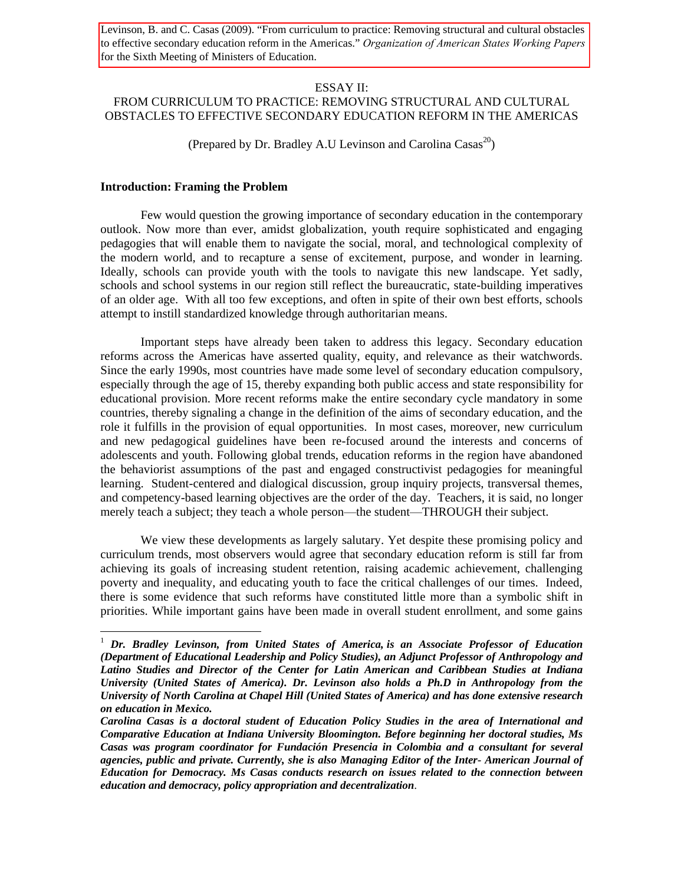Levinson, B. and C. Casas (2009). "From curriculum to practice: Removing structural and cultural obstacles to effective secondary education reform in the Americas." *Organization of American States Working Papers* for the Sixth Meeting of Ministers of Education.

### ESSAY II:

# FROM CURRICULUM TO PRACTICE: REMOVING STRUCTURAL AND CULTURAL OBSTACLES TO EFFECTIVE SECONDARY EDUCATION REFORM IN THE AMERICAS

(Prepared by Dr. Bradley A.U Levinson and Carolina  $\text{Casa}^{20}$ )

## **Introduction: Framing the Problem**

 $\overline{a}$ 

Few would question the growing importance of secondary education in the contemporary outlook. Now more than ever, amidst globalization, youth require sophisticated and engaging pedagogies that will enable them to navigate the social, moral, and technological complexity of the modern world, and to recapture a sense of excitement, purpose, and wonder in learning. Ideally, schools can provide youth with the tools to navigate this new landscape. Yet sadly, schools and school systems in our region still reflect the bureaucratic, state-building imperatives of an older age. With all too few exceptions, and often in spite of their own best efforts, schools attempt to instill standardized knowledge through authoritarian means.

Important steps have already been taken to address this legacy. Secondary education reforms across the Americas have asserted quality, equity, and relevance as their watchwords. Since the early 1990s, most countries have made some level of secondary education compulsory, especially through the age of 15, thereby expanding both public access and state responsibility for educational provision. More recent reforms make the entire secondary cycle mandatory in some countries, thereby signaling a change in the definition of the aims of secondary education, and the role it fulfills in the provision of equal opportunities. In most cases, moreover, new curriculum and new pedagogical guidelines have been re-focused around the interests and concerns of adolescents and youth. Following global trends, education reforms in the region have abandoned the behaviorist assumptions of the past and engaged constructivist pedagogies for meaningful learning. Student-centered and dialogical discussion, group inquiry projects, transversal themes, and competency-based learning objectives are the order of the day. Teachers, it is said, no longer merely teach a subject; they teach a whole person—the student—THROUGH their subject.

We view these developments as largely salutary. Yet despite these promising policy and curriculum trends, most observers would agree that secondary education reform is still far from achieving its goals of increasing student retention, raising academic achievement, challenging poverty and inequality, and educating youth to face the critical challenges of our times. Indeed, there is some evidence that such reforms have constituted little more than a symbolic shift in priorities. While important gains have been made in overall student enrollment, and some gains

<sup>1</sup> *Dr. Bradley Levinson, from United States of America, is an Associate Professor of Education (Department of Educational Leadership and Policy Studies), an Adjunct Professor of Anthropology and Latino Studies and Director of the Center for Latin American and Caribbean Studies at Indiana University (United States of America). Dr. Levinson also holds a Ph.D in Anthropology from the University of North Carolina at Chapel Hill (United States of America) and has done extensive research on education in Mexico.*

*Carolina Casas is a doctoral student of Education Policy Studies in the area of International and Comparative Education at Indiana University Bloomington. Before beginning her doctoral studies, Ms Casas was program coordinator for Fundación Presencia in Colombia and a consultant for several agencies, public and private. Currently, she is also Managing Editor of the Inter- American Journal of Education for Democracy. Ms Casas conducts research on issues related to the connection between education and democracy, policy appropriation and decentralization*.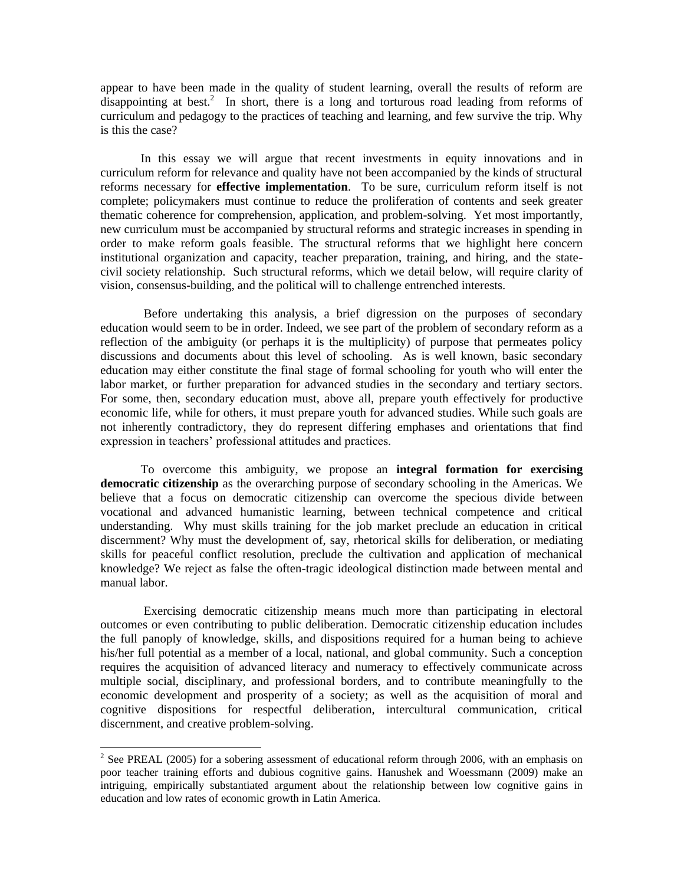appear to have been made in the quality of student learning, overall the results of reform are  $disappointing$  at best.<sup>2</sup> In short, there is a long and torturous road leading from reforms of curriculum and pedagogy to the practices of teaching and learning, and few survive the trip. Why is this the case?

In this essay we will argue that recent investments in equity innovations and in curriculum reform for relevance and quality have not been accompanied by the kinds of structural reforms necessary for **effective implementation**. To be sure, curriculum reform itself is not complete; policymakers must continue to reduce the proliferation of contents and seek greater thematic coherence for comprehension, application, and problem-solving. Yet most importantly, new curriculum must be accompanied by structural reforms and strategic increases in spending in order to make reform goals feasible. The structural reforms that we highlight here concern institutional organization and capacity, teacher preparation, training, and hiring, and the statecivil society relationship. Such structural reforms, which we detail below, will require clarity of vision, consensus-building, and the political will to challenge entrenched interests.

Before undertaking this analysis, a brief digression on the purposes of secondary education would seem to be in order. Indeed, we see part of the problem of secondary reform as a reflection of the ambiguity (or perhaps it is the multiplicity) of purpose that permeates policy discussions and documents about this level of schooling. As is well known, basic secondary education may either constitute the final stage of formal schooling for youth who will enter the labor market, or further preparation for advanced studies in the secondary and tertiary sectors. For some, then, secondary education must, above all, prepare youth effectively for productive economic life, while for others, it must prepare youth for advanced studies. While such goals are not inherently contradictory, they do represent differing emphases and orientations that find expression in teachers' professional attitudes and practices.

To overcome this ambiguity, we propose an **integral formation for exercising democratic citizenship** as the overarching purpose of secondary schooling in the Americas. We believe that a focus on democratic citizenship can overcome the specious divide between vocational and advanced humanistic learning, between technical competence and critical understanding. Why must skills training for the job market preclude an education in critical discernment? Why must the development of, say, rhetorical skills for deliberation, or mediating skills for peaceful conflict resolution, preclude the cultivation and application of mechanical knowledge? We reject as false the often-tragic ideological distinction made between mental and manual labor.

Exercising democratic citizenship means much more than participating in electoral outcomes or even contributing to public deliberation. Democratic citizenship education includes the full panoply of knowledge, skills, and dispositions required for a human being to achieve his/her full potential as a member of a local, national, and global community. Such a conception requires the acquisition of advanced literacy and numeracy to effectively communicate across multiple social, disciplinary, and professional borders, and to contribute meaningfully to the economic development and prosperity of a society; as well as the acquisition of moral and cognitive dispositions for respectful deliberation, intercultural communication, critical discernment, and creative problem-solving.

 $\overline{a}$ 

<sup>&</sup>lt;sup>2</sup> See PREAL (2005) for a sobering assessment of educational reform through 2006, with an emphasis on poor teacher training efforts and dubious cognitive gains. Hanushek and Woessmann (2009) make an intriguing, empirically substantiated argument about the relationship between low cognitive gains in education and low rates of economic growth in Latin America.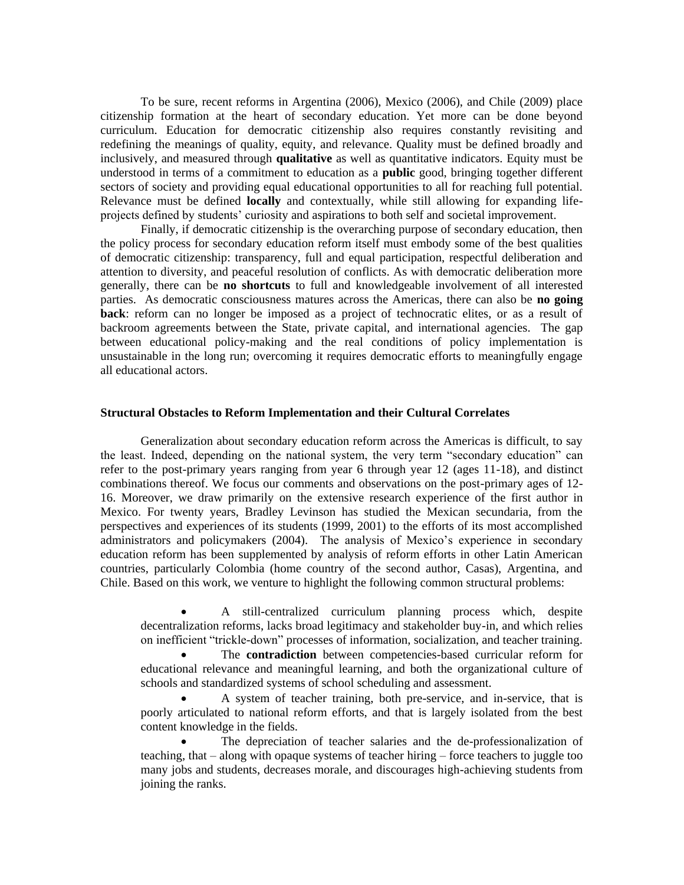To be sure, recent reforms in Argentina (2006), Mexico (2006), and Chile (2009) place citizenship formation at the heart of secondary education. Yet more can be done beyond curriculum. Education for democratic citizenship also requires constantly revisiting and redefining the meanings of quality, equity, and relevance. Quality must be defined broadly and inclusively, and measured through **qualitative** as well as quantitative indicators. Equity must be understood in terms of a commitment to education as a **public** good, bringing together different sectors of society and providing equal educational opportunities to all for reaching full potential. Relevance must be defined **locally** and contextually, while still allowing for expanding lifeprojects defined by students' curiosity and aspirations to both self and societal improvement.

Finally, if democratic citizenship is the overarching purpose of secondary education, then the policy process for secondary education reform itself must embody some of the best qualities of democratic citizenship: transparency, full and equal participation, respectful deliberation and attention to diversity, and peaceful resolution of conflicts. As with democratic deliberation more generally, there can be **no shortcuts** to full and knowledgeable involvement of all interested parties. As democratic consciousness matures across the Americas, there can also be **no going back**: reform can no longer be imposed as a project of technocratic elites, or as a result of backroom agreements between the State, private capital, and international agencies. The gap between educational policy-making and the real conditions of policy implementation is unsustainable in the long run; overcoming it requires democratic efforts to meaningfully engage all educational actors.

#### **Structural Obstacles to Reform Implementation and their Cultural Correlates**

Generalization about secondary education reform across the Americas is difficult, to say the least. Indeed, depending on the national system, the very term "secondary education" can refer to the post-primary years ranging from year 6 through year 12 (ages 11-18), and distinct combinations thereof. We focus our comments and observations on the post-primary ages of 12- 16. Moreover, we draw primarily on the extensive research experience of the first author in Mexico. For twenty years, Bradley Levinson has studied the Mexican secundaria, from the perspectives and experiences of its students (1999, 2001) to the efforts of its most accomplished administrators and policymakers (2004). The analysis of Mexico's experience in secondary education reform has been supplemented by analysis of reform efforts in other Latin American countries, particularly Colombia (home country of the second author, Casas), Argentina, and Chile. Based on this work, we venture to highlight the following common structural problems:

 A still-centralized curriculum planning process which, despite decentralization reforms, lacks broad legitimacy and stakeholder buy-in, and which relies on inefficient "trickle-down" processes of information, socialization, and teacher training.

 The **contradiction** between competencies-based curricular reform for educational relevance and meaningful learning, and both the organizational culture of schools and standardized systems of school scheduling and assessment.

 A system of teacher training, both pre-service, and in-service, that is poorly articulated to national reform efforts, and that is largely isolated from the best content knowledge in the fields.

 The depreciation of teacher salaries and the de-professionalization of teaching, that – along with opaque systems of teacher hiring – force teachers to juggle too many jobs and students, decreases morale, and discourages high-achieving students from joining the ranks.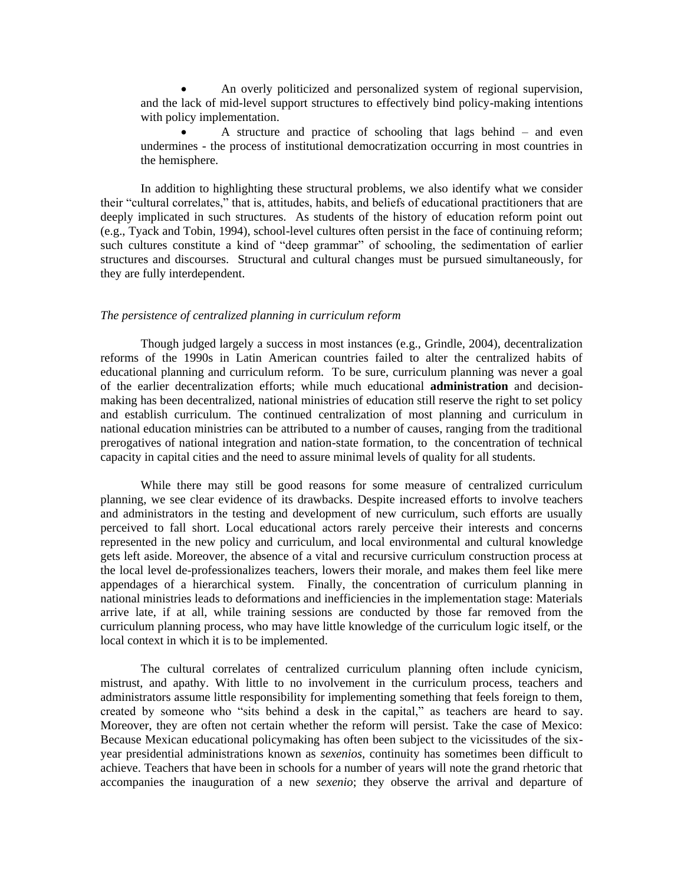An overly politicized and personalized system of regional supervision, and the lack of mid-level support structures to effectively bind policy-making intentions with policy implementation.

 A structure and practice of schooling that lags behind – and even undermines - the process of institutional democratization occurring in most countries in the hemisphere.

In addition to highlighting these structural problems, we also identify what we consider their "cultural correlates," that is, attitudes, habits, and beliefs of educational practitioners that are deeply implicated in such structures. As students of the history of education reform point out (e.g., Tyack and Tobin, 1994), school-level cultures often persist in the face of continuing reform; such cultures constitute a kind of "deep grammar" of schooling, the sedimentation of earlier structures and discourses. Structural and cultural changes must be pursued simultaneously, for they are fully interdependent.

#### *The persistence of centralized planning in curriculum reform*

Though judged largely a success in most instances (e.g., Grindle, 2004), decentralization reforms of the 1990s in Latin American countries failed to alter the centralized habits of educational planning and curriculum reform. To be sure, curriculum planning was never a goal of the earlier decentralization efforts; while much educational **administration** and decisionmaking has been decentralized, national ministries of education still reserve the right to set policy and establish curriculum. The continued centralization of most planning and curriculum in national education ministries can be attributed to a number of causes, ranging from the traditional prerogatives of national integration and nation-state formation, to the concentration of technical capacity in capital cities and the need to assure minimal levels of quality for all students.

While there may still be good reasons for some measure of centralized curriculum planning, we see clear evidence of its drawbacks. Despite increased efforts to involve teachers and administrators in the testing and development of new curriculum, such efforts are usually perceived to fall short. Local educational actors rarely perceive their interests and concerns represented in the new policy and curriculum, and local environmental and cultural knowledge gets left aside. Moreover, the absence of a vital and recursive curriculum construction process at the local level de-professionalizes teachers, lowers their morale, and makes them feel like mere appendages of a hierarchical system. Finally, the concentration of curriculum planning in national ministries leads to deformations and inefficiencies in the implementation stage: Materials arrive late, if at all, while training sessions are conducted by those far removed from the curriculum planning process, who may have little knowledge of the curriculum logic itself, or the local context in which it is to be implemented.

The cultural correlates of centralized curriculum planning often include cynicism, mistrust, and apathy. With little to no involvement in the curriculum process, teachers and administrators assume little responsibility for implementing something that feels foreign to them, created by someone who "sits behind a desk in the capital," as teachers are heard to say. Moreover, they are often not certain whether the reform will persist. Take the case of Mexico: Because Mexican educational policymaking has often been subject to the vicissitudes of the sixyear presidential administrations known as *sexenios*, continuity has sometimes been difficult to achieve. Teachers that have been in schools for a number of years will note the grand rhetoric that accompanies the inauguration of a new *sexenio*; they observe the arrival and departure of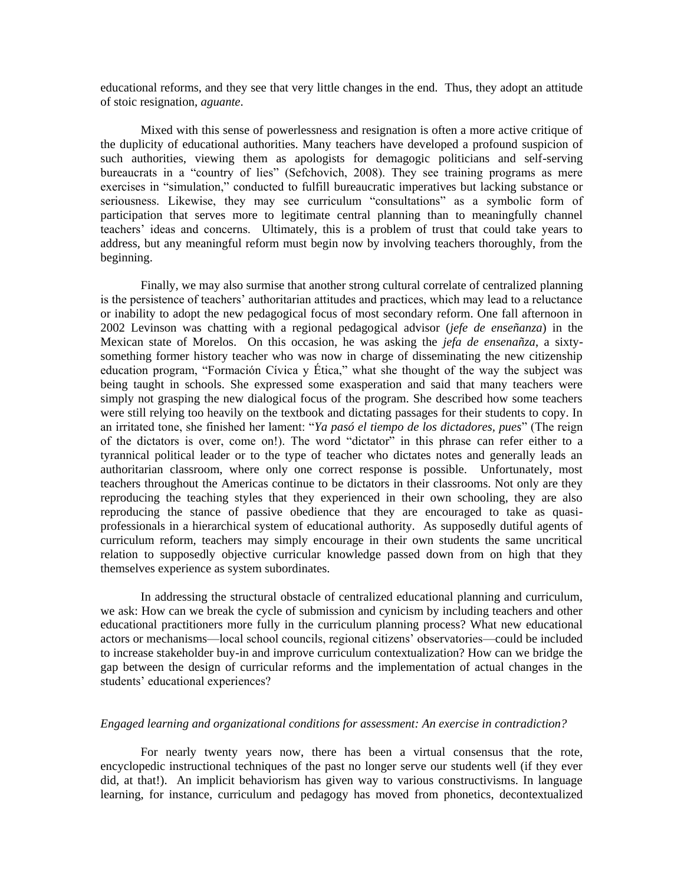educational reforms, and they see that very little changes in the end. Thus, they adopt an attitude of stoic resignation, *aguante*.

Mixed with this sense of powerlessness and resignation is often a more active critique of the duplicity of educational authorities. Many teachers have developed a profound suspicion of such authorities, viewing them as apologists for demagogic politicians and self-serving bureaucrats in a "country of lies" (Sefchovich, 2008). They see training programs as mere exercises in "simulation," conducted to fulfill bureaucratic imperatives but lacking substance or seriousness. Likewise, they may see curriculum "consultations" as a symbolic form of participation that serves more to legitimate central planning than to meaningfully channel teachers' ideas and concerns. Ultimately, this is a problem of trust that could take years to address, but any meaningful reform must begin now by involving teachers thoroughly, from the beginning.

Finally, we may also surmise that another strong cultural correlate of centralized planning is the persistence of teachers' authoritarian attitudes and practices, which may lead to a reluctance or inability to adopt the new pedagogical focus of most secondary reform. One fall afternoon in 2002 Levinson was chatting with a regional pedagogical advisor (*jefe de enseñanza*) in the Mexican state of Morelos. On this occasion, he was asking the *jefa de ensenañza*, a sixtysomething former history teacher who was now in charge of disseminating the new citizenship education program, "Formación Cívica y Ética," what she thought of the way the subject was being taught in schools. She expressed some exasperation and said that many teachers were simply not grasping the new dialogical focus of the program. She described how some teachers were still relying too heavily on the textbook and dictating passages for their students to copy. In an irritated tone, she finished her lament: "*Ya pasó el tiempo de los dictadores, pues*" (The reign of the dictators is over, come on!). The word "dictator" in this phrase can refer either to a tyrannical political leader or to the type of teacher who dictates notes and generally leads an authoritarian classroom, where only one correct response is possible. Unfortunately, most teachers throughout the Americas continue to be dictators in their classrooms. Not only are they reproducing the teaching styles that they experienced in their own schooling, they are also reproducing the stance of passive obedience that they are encouraged to take as quasiprofessionals in a hierarchical system of educational authority. As supposedly dutiful agents of curriculum reform, teachers may simply encourage in their own students the same uncritical relation to supposedly objective curricular knowledge passed down from on high that they themselves experience as system subordinates.

In addressing the structural obstacle of centralized educational planning and curriculum, we ask: How can we break the cycle of submission and cynicism by including teachers and other educational practitioners more fully in the curriculum planning process? What new educational actors or mechanisms—local school councils, regional citizens' observatories—could be included to increase stakeholder buy-in and improve curriculum contextualization? How can we bridge the gap between the design of curricular reforms and the implementation of actual changes in the students' educational experiences?

#### *Engaged learning and organizational conditions for assessment: An exercise in contradiction?*

For nearly twenty years now, there has been a virtual consensus that the rote, encyclopedic instructional techniques of the past no longer serve our students well (if they ever did, at that!). An implicit behaviorism has given way to various constructivisms. In language learning, for instance, curriculum and pedagogy has moved from phonetics, decontextualized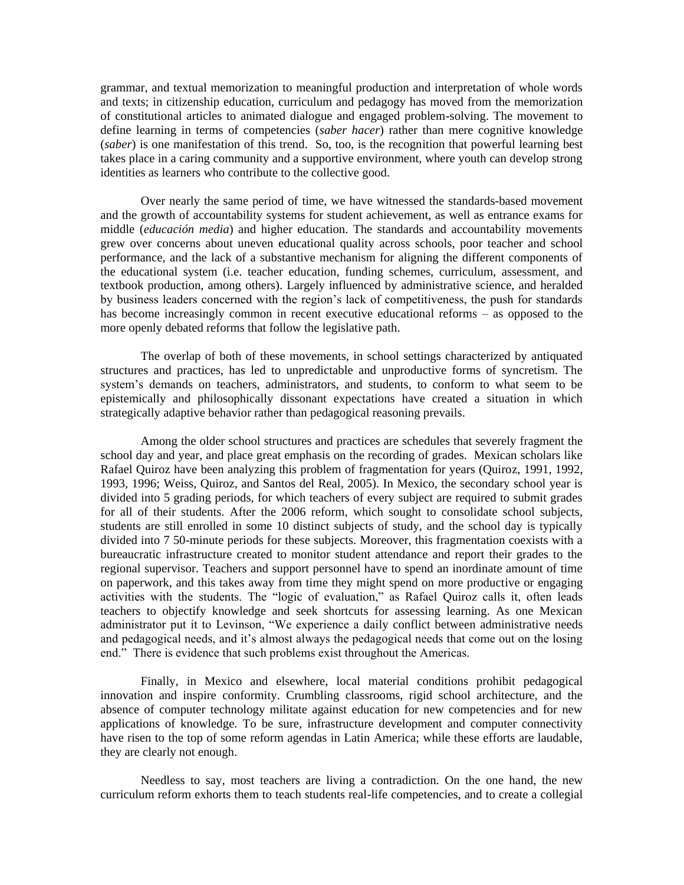grammar, and textual memorization to meaningful production and interpretation of whole words and texts; in citizenship education, curriculum and pedagogy has moved from the memorization of constitutional articles to animated dialogue and engaged problem-solving. The movement to define learning in terms of competencies (*saber hacer*) rather than mere cognitive knowledge (*saber*) is one manifestation of this trend. So, too, is the recognition that powerful learning best takes place in a caring community and a supportive environment, where youth can develop strong identities as learners who contribute to the collective good.

Over nearly the same period of time, we have witnessed the standards-based movement and the growth of accountability systems for student achievement, as well as entrance exams for middle (*educación media*) and higher education. The standards and accountability movements grew over concerns about uneven educational quality across schools, poor teacher and school performance, and the lack of a substantive mechanism for aligning the different components of the educational system (i.e. teacher education, funding schemes, curriculum, assessment, and textbook production, among others). Largely influenced by administrative science, and heralded by business leaders concerned with the region's lack of competitiveness, the push for standards has become increasingly common in recent executive educational reforms – as opposed to the more openly debated reforms that follow the legislative path.

The overlap of both of these movements, in school settings characterized by antiquated structures and practices, has led to unpredictable and unproductive forms of syncretism. The system's demands on teachers, administrators, and students, to conform to what seem to be epistemically and philosophically dissonant expectations have created a situation in which strategically adaptive behavior rather than pedagogical reasoning prevails.

Among the older school structures and practices are schedules that severely fragment the school day and year, and place great emphasis on the recording of grades. Mexican scholars like Rafael Quiroz have been analyzing this problem of fragmentation for years (Quiroz, 1991, 1992, 1993, 1996; Weiss, Quiroz, and Santos del Real, 2005). In Mexico, the secondary school year is divided into 5 grading periods, for which teachers of every subject are required to submit grades for all of their students. After the 2006 reform, which sought to consolidate school subjects, students are still enrolled in some 10 distinct subjects of study, and the school day is typically divided into 7 50-minute periods for these subjects. Moreover, this fragmentation coexists with a bureaucratic infrastructure created to monitor student attendance and report their grades to the regional supervisor. Teachers and support personnel have to spend an inordinate amount of time on paperwork, and this takes away from time they might spend on more productive or engaging activities with the students. The "logic of evaluation," as Rafael Quiroz calls it, often leads teachers to objectify knowledge and seek shortcuts for assessing learning. As one Mexican administrator put it to Levinson, "We experience a daily conflict between administrative needs and pedagogical needs, and it's almost always the pedagogical needs that come out on the losing end." There is evidence that such problems exist throughout the Americas.

Finally, in Mexico and elsewhere, local material conditions prohibit pedagogical innovation and inspire conformity. Crumbling classrooms, rigid school architecture, and the absence of computer technology militate against education for new competencies and for new applications of knowledge. To be sure, infrastructure development and computer connectivity have risen to the top of some reform agendas in Latin America; while these efforts are laudable, they are clearly not enough.

Needless to say, most teachers are living a contradiction. On the one hand, the new curriculum reform exhorts them to teach students real-life competencies, and to create a collegial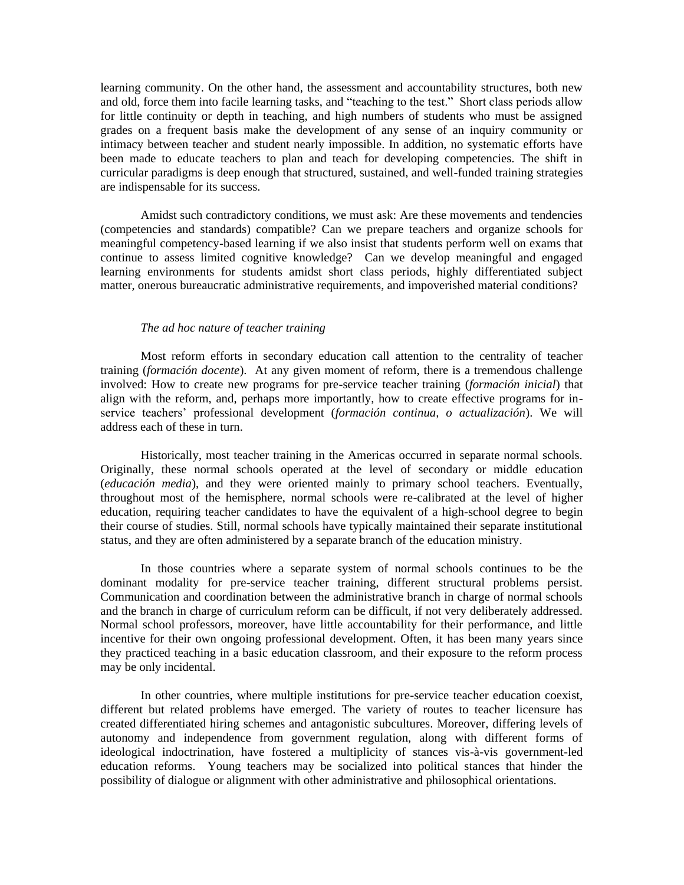learning community. On the other hand, the assessment and accountability structures, both new and old, force them into facile learning tasks, and "teaching to the test." Short class periods allow for little continuity or depth in teaching, and high numbers of students who must be assigned grades on a frequent basis make the development of any sense of an inquiry community or intimacy between teacher and student nearly impossible. In addition, no systematic efforts have been made to educate teachers to plan and teach for developing competencies. The shift in curricular paradigms is deep enough that structured, sustained, and well-funded training strategies are indispensable for its success.

Amidst such contradictory conditions, we must ask: Are these movements and tendencies (competencies and standards) compatible? Can we prepare teachers and organize schools for meaningful competency-based learning if we also insist that students perform well on exams that continue to assess limited cognitive knowledge? Can we develop meaningful and engaged learning environments for students amidst short class periods, highly differentiated subject matter, onerous bureaucratic administrative requirements, and impoverished material conditions?

#### *The ad hoc nature of teacher training*

Most reform efforts in secondary education call attention to the centrality of teacher training (*formación docente*). At any given moment of reform, there is a tremendous challenge involved: How to create new programs for pre-service teacher training (*formación inicial*) that align with the reform, and, perhaps more importantly, how to create effective programs for inservice teachers' professional development (*formación continua, o actualización*). We will address each of these in turn.

Historically, most teacher training in the Americas occurred in separate normal schools. Originally, these normal schools operated at the level of secondary or middle education (*educación media*), and they were oriented mainly to primary school teachers. Eventually, throughout most of the hemisphere, normal schools were re-calibrated at the level of higher education, requiring teacher candidates to have the equivalent of a high-school degree to begin their course of studies. Still, normal schools have typically maintained their separate institutional status, and they are often administered by a separate branch of the education ministry.

In those countries where a separate system of normal schools continues to be the dominant modality for pre-service teacher training, different structural problems persist. Communication and coordination between the administrative branch in charge of normal schools and the branch in charge of curriculum reform can be difficult, if not very deliberately addressed. Normal school professors, moreover, have little accountability for their performance, and little incentive for their own ongoing professional development. Often, it has been many years since they practiced teaching in a basic education classroom, and their exposure to the reform process may be only incidental.

In other countries, where multiple institutions for pre-service teacher education coexist, different but related problems have emerged. The variety of routes to teacher licensure has created differentiated hiring schemes and antagonistic subcultures. Moreover, differing levels of autonomy and independence from government regulation, along with different forms of ideological indoctrination, have fostered a multiplicity of stances vis-à-vis government-led education reforms. Young teachers may be socialized into political stances that hinder the possibility of dialogue or alignment with other administrative and philosophical orientations.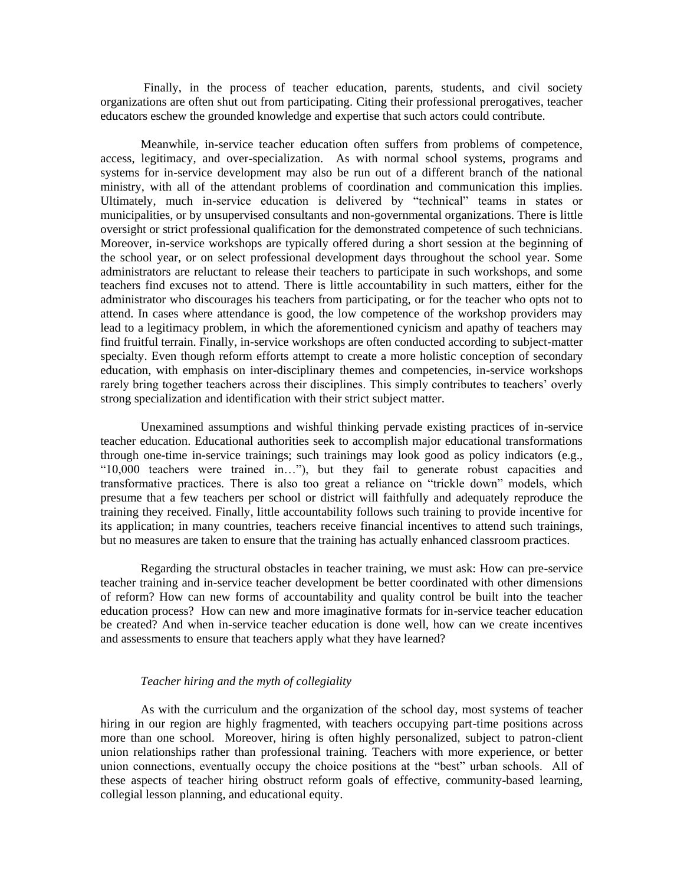Finally, in the process of teacher education, parents, students, and civil society organizations are often shut out from participating. Citing their professional prerogatives, teacher educators eschew the grounded knowledge and expertise that such actors could contribute.

Meanwhile, in-service teacher education often suffers from problems of competence, access, legitimacy, and over-specialization. As with normal school systems, programs and systems for in-service development may also be run out of a different branch of the national ministry, with all of the attendant problems of coordination and communication this implies. Ultimately, much in-service education is delivered by "technical" teams in states or municipalities, or by unsupervised consultants and non-governmental organizations. There is little oversight or strict professional qualification for the demonstrated competence of such technicians. Moreover, in-service workshops are typically offered during a short session at the beginning of the school year, or on select professional development days throughout the school year. Some administrators are reluctant to release their teachers to participate in such workshops, and some teachers find excuses not to attend. There is little accountability in such matters, either for the administrator who discourages his teachers from participating, or for the teacher who opts not to attend. In cases where attendance is good, the low competence of the workshop providers may lead to a legitimacy problem, in which the aforementioned cynicism and apathy of teachers may find fruitful terrain. Finally, in-service workshops are often conducted according to subject-matter specialty. Even though reform efforts attempt to create a more holistic conception of secondary education, with emphasis on inter-disciplinary themes and competencies, in-service workshops rarely bring together teachers across their disciplines. This simply contributes to teachers' overly strong specialization and identification with their strict subject matter.

Unexamined assumptions and wishful thinking pervade existing practices of in-service teacher education. Educational authorities seek to accomplish major educational transformations through one-time in-service trainings; such trainings may look good as policy indicators (e.g., ―10,000 teachers were trained in…‖), but they fail to generate robust capacities and transformative practices. There is also too great a reliance on "trickle down" models, which presume that a few teachers per school or district will faithfully and adequately reproduce the training they received. Finally, little accountability follows such training to provide incentive for its application; in many countries, teachers receive financial incentives to attend such trainings, but no measures are taken to ensure that the training has actually enhanced classroom practices.

Regarding the structural obstacles in teacher training, we must ask: How can pre-service teacher training and in-service teacher development be better coordinated with other dimensions of reform? How can new forms of accountability and quality control be built into the teacher education process? How can new and more imaginative formats for in-service teacher education be created? And when in-service teacher education is done well, how can we create incentives and assessments to ensure that teachers apply what they have learned?

## *Teacher hiring and the myth of collegiality*

As with the curriculum and the organization of the school day, most systems of teacher hiring in our region are highly fragmented, with teachers occupying part-time positions across more than one school. Moreover, hiring is often highly personalized, subject to patron-client union relationships rather than professional training. Teachers with more experience, or better union connections, eventually occupy the choice positions at the "best" urban schools. All of these aspects of teacher hiring obstruct reform goals of effective, community-based learning, collegial lesson planning, and educational equity.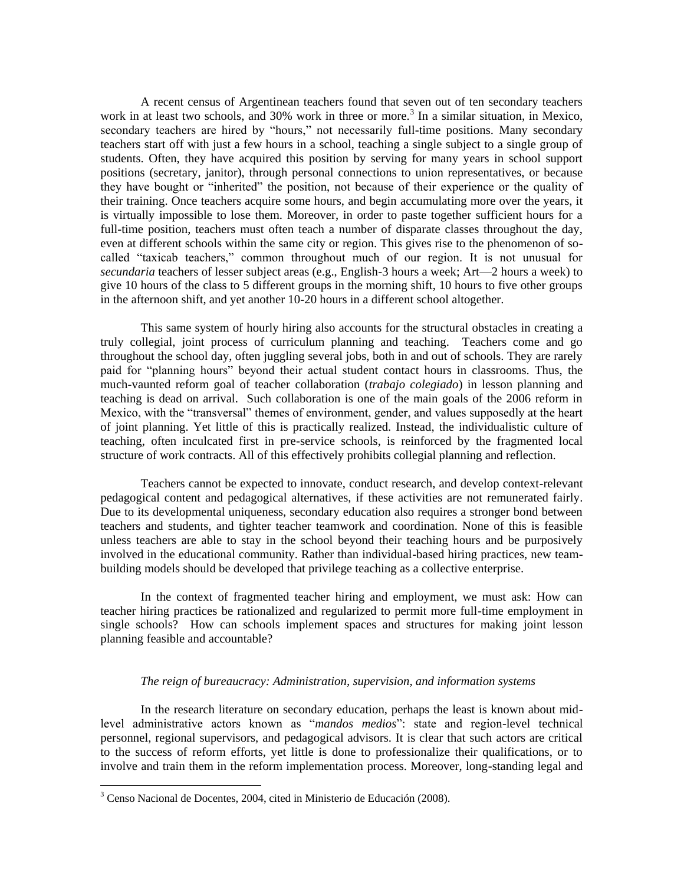A recent census of Argentinean teachers found that seven out of ten secondary teachers work in at least two schools, and 30% work in three or more.<sup>3</sup> In a similar situation, in Mexico, secondary teachers are hired by "hours," not necessarily full-time positions. Many secondary teachers start off with just a few hours in a school, teaching a single subject to a single group of students. Often, they have acquired this position by serving for many years in school support positions (secretary, janitor), through personal connections to union representatives, or because they have bought or "inherited" the position, not because of their experience or the quality of their training. Once teachers acquire some hours, and begin accumulating more over the years, it is virtually impossible to lose them. Moreover, in order to paste together sufficient hours for a full-time position, teachers must often teach a number of disparate classes throughout the day, even at different schools within the same city or region. This gives rise to the phenomenon of socalled "taxicab teachers," common throughout much of our region. It is not unusual for *secundaria* teachers of lesser subject areas (e.g., English-3 hours a week; Art—2 hours a week) to give 10 hours of the class to 5 different groups in the morning shift, 10 hours to five other groups in the afternoon shift, and yet another 10-20 hours in a different school altogether.

This same system of hourly hiring also accounts for the structural obstacles in creating a truly collegial, joint process of curriculum planning and teaching. Teachers come and go throughout the school day, often juggling several jobs, both in and out of schools. They are rarely paid for "planning hours" beyond their actual student contact hours in classrooms. Thus, the much-vaunted reform goal of teacher collaboration (*trabajo colegiado*) in lesson planning and teaching is dead on arrival. Such collaboration is one of the main goals of the 2006 reform in Mexico, with the "transversal" themes of environment, gender, and values supposedly at the heart of joint planning. Yet little of this is practically realized. Instead, the individualistic culture of teaching, often inculcated first in pre-service schools, is reinforced by the fragmented local structure of work contracts. All of this effectively prohibits collegial planning and reflection.

Teachers cannot be expected to innovate, conduct research, and develop context-relevant pedagogical content and pedagogical alternatives, if these activities are not remunerated fairly. Due to its developmental uniqueness, secondary education also requires a stronger bond between teachers and students, and tighter teacher teamwork and coordination. None of this is feasible unless teachers are able to stay in the school beyond their teaching hours and be purposively involved in the educational community. Rather than individual-based hiring practices, new teambuilding models should be developed that privilege teaching as a collective enterprise.

In the context of fragmented teacher hiring and employment, we must ask: How can teacher hiring practices be rationalized and regularized to permit more full-time employment in single schools? How can schools implement spaces and structures for making joint lesson planning feasible and accountable?

# *The reign of bureaucracy: Administration, supervision, and information systems*

In the research literature on secondary education, perhaps the least is known about midlevel administrative actors known as "mandos medios": state and region-level technical personnel, regional supervisors, and pedagogical advisors. It is clear that such actors are critical to the success of reform efforts, yet little is done to professionalize their qualifications, or to involve and train them in the reform implementation process. Moreover, long-standing legal and

 $\overline{a}$ 

 $3$  Censo Nacional de Docentes, 2004, cited in Ministerio de Educación (2008).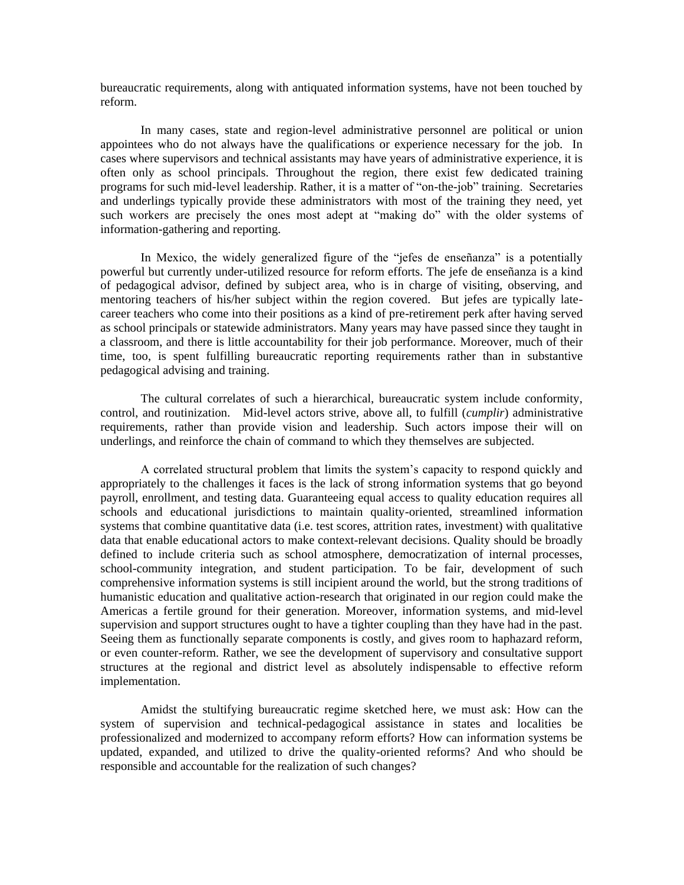bureaucratic requirements, along with antiquated information systems, have not been touched by reform.

In many cases, state and region-level administrative personnel are political or union appointees who do not always have the qualifications or experience necessary for the job. In cases where supervisors and technical assistants may have years of administrative experience, it is often only as school principals. Throughout the region, there exist few dedicated training programs for such mid-level leadership. Rather, it is a matter of "on-the-job" training. Secretaries and underlings typically provide these administrators with most of the training they need, yet such workers are precisely the ones most adept at "making do" with the older systems of information-gathering and reporting.

In Mexico, the widely generalized figure of the "jefes de enseñanza" is a potentially powerful but currently under-utilized resource for reform efforts. The jefe de enseñanza is a kind of pedagogical advisor, defined by subject area, who is in charge of visiting, observing, and mentoring teachers of his/her subject within the region covered. But jefes are typically latecareer teachers who come into their positions as a kind of pre-retirement perk after having served as school principals or statewide administrators. Many years may have passed since they taught in a classroom, and there is little accountability for their job performance. Moreover, much of their time, too, is spent fulfilling bureaucratic reporting requirements rather than in substantive pedagogical advising and training.

The cultural correlates of such a hierarchical, bureaucratic system include conformity, control, and routinization. Mid-level actors strive, above all, to fulfill (*cumplir*) administrative requirements, rather than provide vision and leadership. Such actors impose their will on underlings, and reinforce the chain of command to which they themselves are subjected.

A correlated structural problem that limits the system's capacity to respond quickly and appropriately to the challenges it faces is the lack of strong information systems that go beyond payroll, enrollment, and testing data. Guaranteeing equal access to quality education requires all schools and educational jurisdictions to maintain quality-oriented, streamlined information systems that combine quantitative data (i.e. test scores, attrition rates, investment) with qualitative data that enable educational actors to make context-relevant decisions. Quality should be broadly defined to include criteria such as school atmosphere, democratization of internal processes, school-community integration, and student participation. To be fair, development of such comprehensive information systems is still incipient around the world, but the strong traditions of humanistic education and qualitative action-research that originated in our region could make the Americas a fertile ground for their generation. Moreover, information systems, and mid-level supervision and support structures ought to have a tighter coupling than they have had in the past. Seeing them as functionally separate components is costly, and gives room to haphazard reform, or even counter-reform. Rather, we see the development of supervisory and consultative support structures at the regional and district level as absolutely indispensable to effective reform implementation.

Amidst the stultifying bureaucratic regime sketched here, we must ask: How can the system of supervision and technical-pedagogical assistance in states and localities be professionalized and modernized to accompany reform efforts? How can information systems be updated, expanded, and utilized to drive the quality-oriented reforms? And who should be responsible and accountable for the realization of such changes?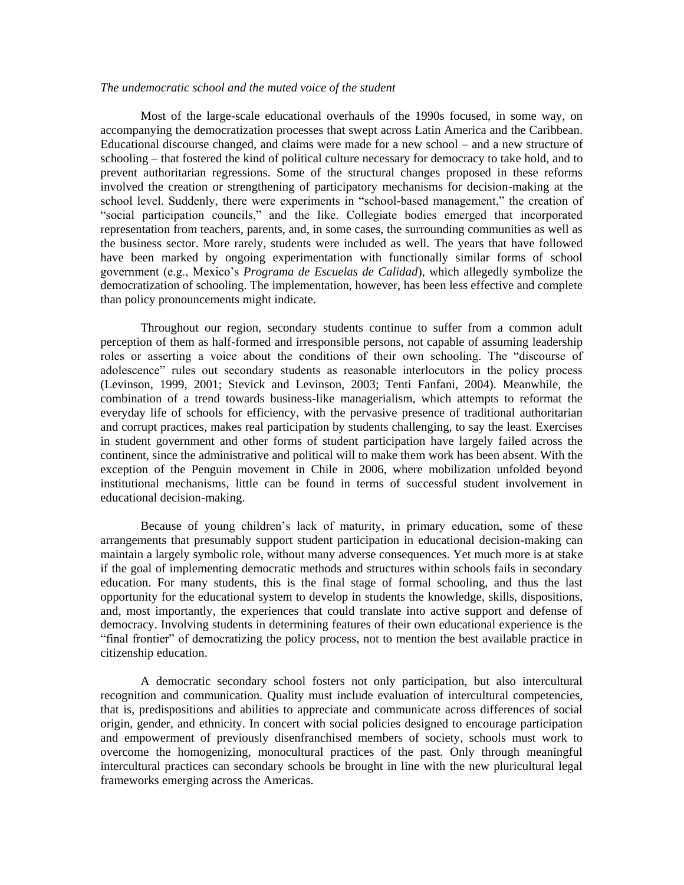#### *The undemocratic school and the muted voice of the student*

Most of the large-scale educational overhauls of the 1990s focused, in some way, on accompanying the democratization processes that swept across Latin America and the Caribbean. Educational discourse changed, and claims were made for a new school – and a new structure of schooling – that fostered the kind of political culture necessary for democracy to take hold, and to prevent authoritarian regressions. Some of the structural changes proposed in these reforms involved the creation or strengthening of participatory mechanisms for decision-making at the school level. Suddenly, there were experiments in "school-based management," the creation of "social participation councils," and the like. Collegiate bodies emerged that incorporated representation from teachers, parents, and, in some cases, the surrounding communities as well as the business sector. More rarely, students were included as well. The years that have followed have been marked by ongoing experimentation with functionally similar forms of school government (e.g., Mexico's *Programa de Escuelas de Calidad*), which allegedly symbolize the democratization of schooling. The implementation, however, has been less effective and complete than policy pronouncements might indicate.

Throughout our region, secondary students continue to suffer from a common adult perception of them as half-formed and irresponsible persons, not capable of assuming leadership roles or asserting a voice about the conditions of their own schooling. The "discourse of adolescence" rules out secondary students as reasonable interlocutors in the policy process (Levinson, 1999, 2001; Stevick and Levinson, 2003; Tenti Fanfani, 2004). Meanwhile, the combination of a trend towards business-like managerialism, which attempts to reformat the everyday life of schools for efficiency, with the pervasive presence of traditional authoritarian and corrupt practices, makes real participation by students challenging, to say the least. Exercises in student government and other forms of student participation have largely failed across the continent, since the administrative and political will to make them work has been absent. With the exception of the Penguin movement in Chile in 2006, where mobilization unfolded beyond institutional mechanisms, little can be found in terms of successful student involvement in educational decision-making.

Because of young children's lack of maturity, in primary education, some of these arrangements that presumably support student participation in educational decision-making can maintain a largely symbolic role, without many adverse consequences. Yet much more is at stake if the goal of implementing democratic methods and structures within schools fails in secondary education. For many students, this is the final stage of formal schooling, and thus the last opportunity for the educational system to develop in students the knowledge, skills, dispositions, and, most importantly, the experiences that could translate into active support and defense of democracy. Involving students in determining features of their own educational experience is the "final frontier" of democratizing the policy process, not to mention the best available practice in citizenship education.

A democratic secondary school fosters not only participation, but also intercultural recognition and communication. Quality must include evaluation of intercultural competencies, that is, predispositions and abilities to appreciate and communicate across differences of social origin, gender, and ethnicity. In concert with social policies designed to encourage participation and empowerment of previously disenfranchised members of society, schools must work to overcome the homogenizing, monocultural practices of the past. Only through meaningful intercultural practices can secondary schools be brought in line with the new pluricultural legal frameworks emerging across the Americas.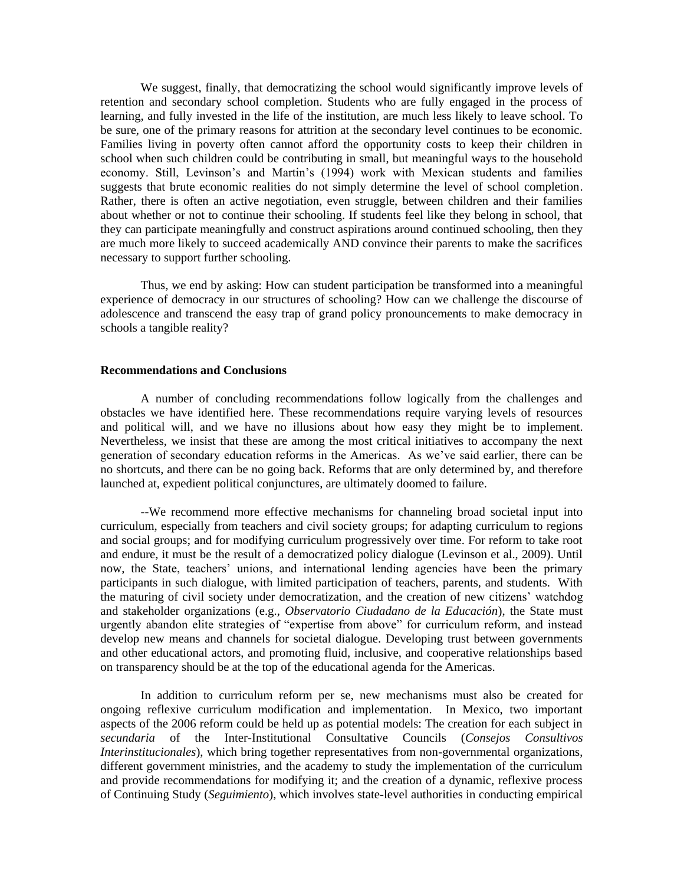We suggest, finally, that democratizing the school would significantly improve levels of retention and secondary school completion. Students who are fully engaged in the process of learning, and fully invested in the life of the institution, are much less likely to leave school. To be sure, one of the primary reasons for attrition at the secondary level continues to be economic. Families living in poverty often cannot afford the opportunity costs to keep their children in school when such children could be contributing in small, but meaningful ways to the household economy. Still, Levinson's and Martin's (1994) work with Mexican students and families suggests that brute economic realities do not simply determine the level of school completion. Rather, there is often an active negotiation, even struggle, between children and their families about whether or not to continue their schooling. If students feel like they belong in school, that they can participate meaningfully and construct aspirations around continued schooling, then they are much more likely to succeed academically AND convince their parents to make the sacrifices necessary to support further schooling.

Thus, we end by asking: How can student participation be transformed into a meaningful experience of democracy in our structures of schooling? How can we challenge the discourse of adolescence and transcend the easy trap of grand policy pronouncements to make democracy in schools a tangible reality?

### **Recommendations and Conclusions**

A number of concluding recommendations follow logically from the challenges and obstacles we have identified here. These recommendations require varying levels of resources and political will, and we have no illusions about how easy they might be to implement. Nevertheless, we insist that these are among the most critical initiatives to accompany the next generation of secondary education reforms in the Americas. As we've said earlier, there can be no shortcuts, and there can be no going back. Reforms that are only determined by, and therefore launched at, expedient political conjunctures, are ultimately doomed to failure.

--We recommend more effective mechanisms for channeling broad societal input into curriculum, especially from teachers and civil society groups; for adapting curriculum to regions and social groups; and for modifying curriculum progressively over time. For reform to take root and endure, it must be the result of a democratized policy dialogue (Levinson et al., 2009). Until now, the State, teachers' unions, and international lending agencies have been the primary participants in such dialogue, with limited participation of teachers, parents, and students. With the maturing of civil society under democratization, and the creation of new citizens' watchdog and stakeholder organizations (e.g., *Observatorio Ciudadano de la Educación*), the State must urgently abandon elite strategies of "expertise from above" for curriculum reform, and instead develop new means and channels for societal dialogue. Developing trust between governments and other educational actors, and promoting fluid, inclusive, and cooperative relationships based on transparency should be at the top of the educational agenda for the Americas.

In addition to curriculum reform per se, new mechanisms must also be created for ongoing reflexive curriculum modification and implementation. In Mexico, two important aspects of the 2006 reform could be held up as potential models: The creation for each subject in *secundaria* of the Inter-Institutional Consultative Councils (*Consejos Consultivos Interinstitucionales*), which bring together representatives from non-governmental organizations, different government ministries, and the academy to study the implementation of the curriculum and provide recommendations for modifying it; and the creation of a dynamic, reflexive process of Continuing Study (*Seguimiento*), which involves state-level authorities in conducting empirical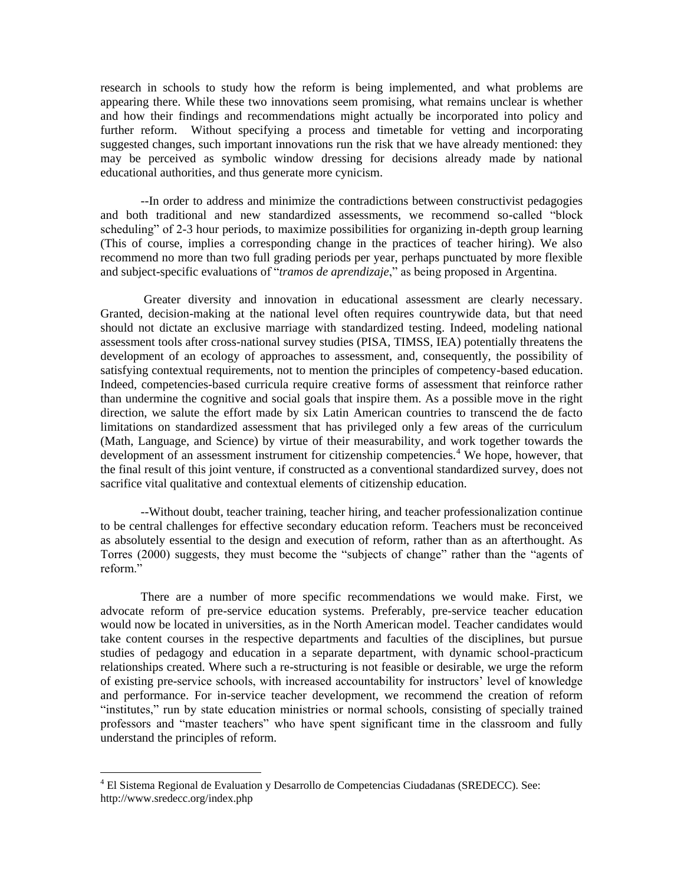research in schools to study how the reform is being implemented, and what problems are appearing there. While these two innovations seem promising, what remains unclear is whether and how their findings and recommendations might actually be incorporated into policy and further reform. Without specifying a process and timetable for vetting and incorporating suggested changes, such important innovations run the risk that we have already mentioned: they may be perceived as symbolic window dressing for decisions already made by national educational authorities, and thus generate more cynicism.

--In order to address and minimize the contradictions between constructivist pedagogies and both traditional and new standardized assessments, we recommend so-called "block scheduling" of 2-3 hour periods, to maximize possibilities for organizing in-depth group learning (This of course, implies a corresponding change in the practices of teacher hiring). We also recommend no more than two full grading periods per year, perhaps punctuated by more flexible and subject-specific evaluations of "*tramos de aprendizaje*," as being proposed in Argentina.

Greater diversity and innovation in educational assessment are clearly necessary. Granted, decision-making at the national level often requires countrywide data, but that need should not dictate an exclusive marriage with standardized testing. Indeed, modeling national assessment tools after cross-national survey studies (PISA, TIMSS, IEA) potentially threatens the development of an ecology of approaches to assessment, and, consequently, the possibility of satisfying contextual requirements, not to mention the principles of competency-based education. Indeed, competencies-based curricula require creative forms of assessment that reinforce rather than undermine the cognitive and social goals that inspire them. As a possible move in the right direction, we salute the effort made by six Latin American countries to transcend the de facto limitations on standardized assessment that has privileged only a few areas of the curriculum (Math, Language, and Science) by virtue of their measurability, and work together towards the development of an assessment instrument for citizenship competencies.<sup>4</sup> We hope, however, that the final result of this joint venture, if constructed as a conventional standardized survey, does not sacrifice vital qualitative and contextual elements of citizenship education.

--Without doubt, teacher training, teacher hiring, and teacher professionalization continue to be central challenges for effective secondary education reform. Teachers must be reconceived as absolutely essential to the design and execution of reform, rather than as an afterthought. As Torres (2000) suggests, they must become the "subjects of change" rather than the "agents of reform."

There are a number of more specific recommendations we would make. First, we advocate reform of pre-service education systems. Preferably, pre-service teacher education would now be located in universities, as in the North American model. Teacher candidates would take content courses in the respective departments and faculties of the disciplines, but pursue studies of pedagogy and education in a separate department, with dynamic school-practicum relationships created. Where such a re-structuring is not feasible or desirable, we urge the reform of existing pre-service schools, with increased accountability for instructors' level of knowledge and performance. For in-service teacher development, we recommend the creation of reform "institutes," run by state education ministries or normal schools, consisting of specially trained professors and "master teachers" who have spent significant time in the classroom and fully understand the principles of reform.

 $\overline{a}$ 

 $4$  El Sistema Regional de Evaluation y Desarrollo de Competencias Ciudadanas (SREDECC). See: http://www.sredecc.org/index.php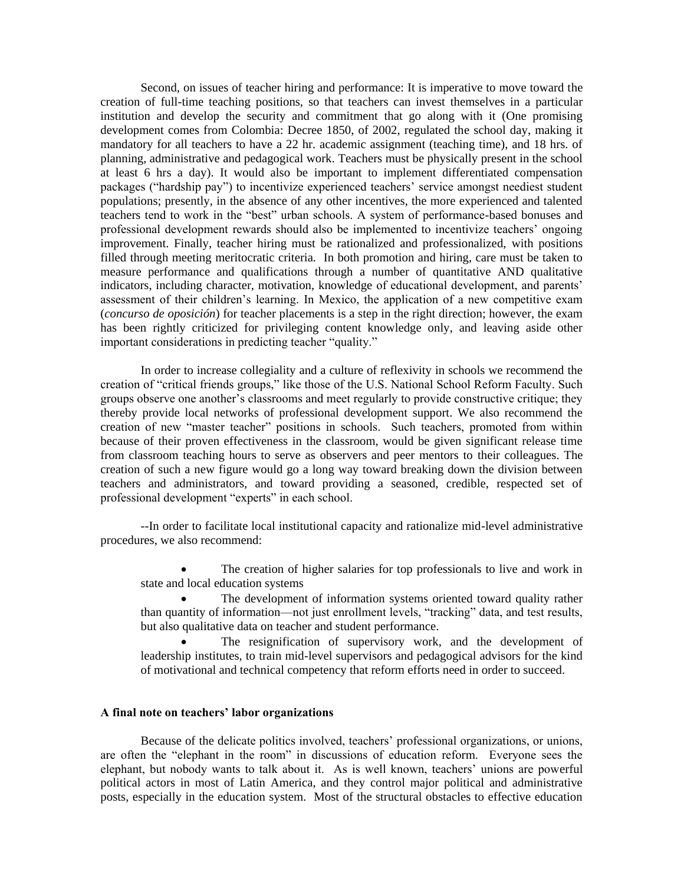Second, on issues of teacher hiring and performance: It is imperative to move toward the creation of full-time teaching positions, so that teachers can invest themselves in a particular institution and develop the security and commitment that go along with it (One promising development comes from Colombia: Decree 1850, of 2002, regulated the school day, making it mandatory for all teachers to have a 22 hr. academic assignment (teaching time), and 18 hrs. of planning, administrative and pedagogical work. Teachers must be physically present in the school at least 6 hrs a day). It would also be important to implement differentiated compensation packages ("hardship pay") to incentivize experienced teachers' service amongst neediest student populations; presently, in the absence of any other incentives, the more experienced and talented teachers tend to work in the "best" urban schools. A system of performance-based bonuses and professional development rewards should also be implemented to incentivize teachers' ongoing improvement. Finally, teacher hiring must be rationalized and professionalized, with positions filled through meeting meritocratic criteria. In both promotion and hiring, care must be taken to measure performance and qualifications through a number of quantitative AND qualitative indicators, including character, motivation, knowledge of educational development, and parents' assessment of their children's learning. In Mexico, the application of a new competitive exam (*concurso de oposición*) for teacher placements is a step in the right direction; however, the exam has been rightly criticized for privileging content knowledge only, and leaving aside other important considerations in predicting teacher "quality."

In order to increase collegiality and a culture of reflexivity in schools we recommend the creation of "critical friends groups," like those of the U.S. National School Reform Faculty. Such groups observe one another's classrooms and meet regularly to provide constructive critique; they thereby provide local networks of professional development support. We also recommend the creation of new "master teacher" positions in schools. Such teachers, promoted from within because of their proven effectiveness in the classroom, would be given significant release time from classroom teaching hours to serve as observers and peer mentors to their colleagues. The creation of such a new figure would go a long way toward breaking down the division between teachers and administrators, and toward providing a seasoned, credible, respected set of professional development "experts" in each school.

--In order to facilitate local institutional capacity and rationalize mid-level administrative procedures, we also recommend:

 The creation of higher salaries for top professionals to live and work in state and local education systems

 The development of information systems oriented toward quality rather than quantity of information—not just enrollment levels, "tracking" data, and test results, but also qualitative data on teacher and student performance.

 The resignification of supervisory work, and the development of leadership institutes, to train mid-level supervisors and pedagogical advisors for the kind of motivational and technical competency that reform efforts need in order to succeed.

## **A final note on teachers' labor organizations**

Because of the delicate politics involved, teachers' professional organizations, or unions, are often the "elephant in the room" in discussions of education reform. Everyone sees the elephant, but nobody wants to talk about it. As is well known, teachers' unions are powerful political actors in most of Latin America, and they control major political and administrative posts, especially in the education system. Most of the structural obstacles to effective education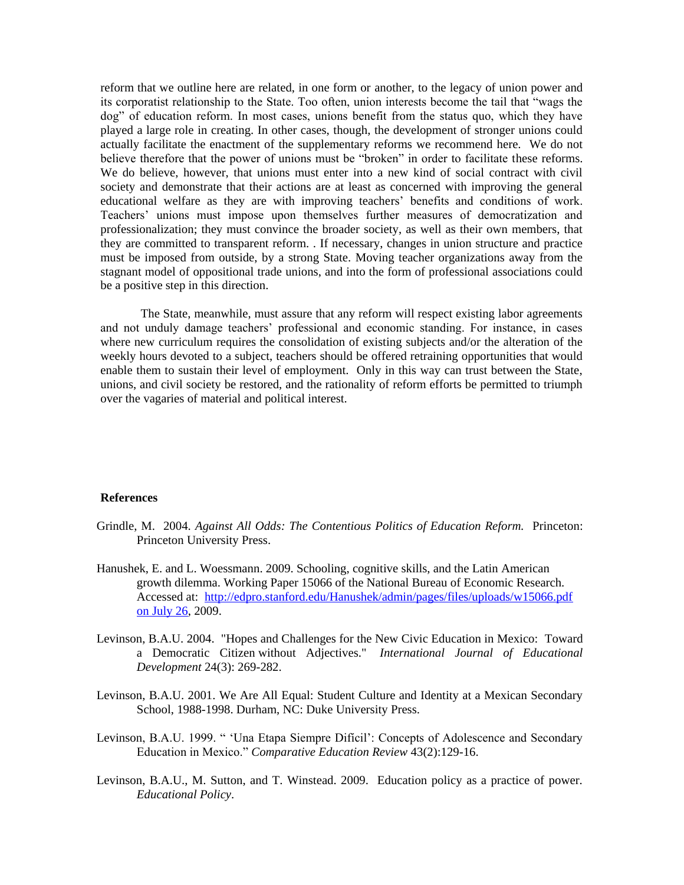reform that we outline here are related, in one form or another, to the legacy of union power and its corporatist relationship to the State. Too often, union interests become the tail that "wags the dog" of education reform. In most cases, unions benefit from the status quo, which they have played a large role in creating. In other cases, though, the development of stronger unions could actually facilitate the enactment of the supplementary reforms we recommend here. We do not believe therefore that the power of unions must be "broken" in order to facilitate these reforms. We do believe, however, that unions must enter into a new kind of social contract with civil society and demonstrate that their actions are at least as concerned with improving the general educational welfare as they are with improving teachers' benefits and conditions of work. Teachers' unions must impose upon themselves further measures of democratization and professionalization; they must convince the broader society, as well as their own members, that they are committed to transparent reform. . If necessary, changes in union structure and practice must be imposed from outside, by a strong State. Moving teacher organizations away from the stagnant model of oppositional trade unions, and into the form of professional associations could be a positive step in this direction.

The State, meanwhile, must assure that any reform will respect existing labor agreements and not unduly damage teachers' professional and economic standing. For instance, in cases where new curriculum requires the consolidation of existing subjects and/or the alteration of the weekly hours devoted to a subject, teachers should be offered retraining opportunities that would enable them to sustain their level of employment. Only in this way can trust between the State, unions, and civil society be restored, and the rationality of reform efforts be permitted to triumph over the vagaries of material and political interest.

### **References**

- Grindle, M. 2004. *Against All Odds: The Contentious Politics of Education Reform.* Princeton: Princeton University Press.
- Hanushek, E. and L. Woessmann. 2009. Schooling, cognitive skills, and the Latin American growth dilemma. Working Paper 15066 of the National Bureau of Economic Research. Accessed at: [http://edpro.stanford.edu/Hanushek/admin/pages/files/uploads/w15066.pdf](http://edpro.stanford.edu/Hanushek/admin/pages/files/uploads/w15066.pdf%20on%20July%2026)  [on July 26,](http://edpro.stanford.edu/Hanushek/admin/pages/files/uploads/w15066.pdf%20on%20July%2026) 2009.
- Levinson, B.A.U. 2004. "Hopes and Challenges for the New Civic Education in Mexico: Toward a Democratic Citizen without Adjectives." *International Journal of Educational Development* 24(3): 269-282.
- Levinson, B.A.U. 2001. We Are All Equal: Student Culture and Identity at a Mexican Secondary School, 1988-1998. Durham, NC: Duke University Press.
- Levinson, B.A.U. 1999. " 'Una Etapa Siempre Difícil': Concepts of Adolescence and Secondary Education in Mexico." *Comparative Education Review* 43(2):129-16.
- Levinson, B.A.U., M. Sutton, and T. Winstead. 2009. Education policy as a practice of power. *Educational Policy*.